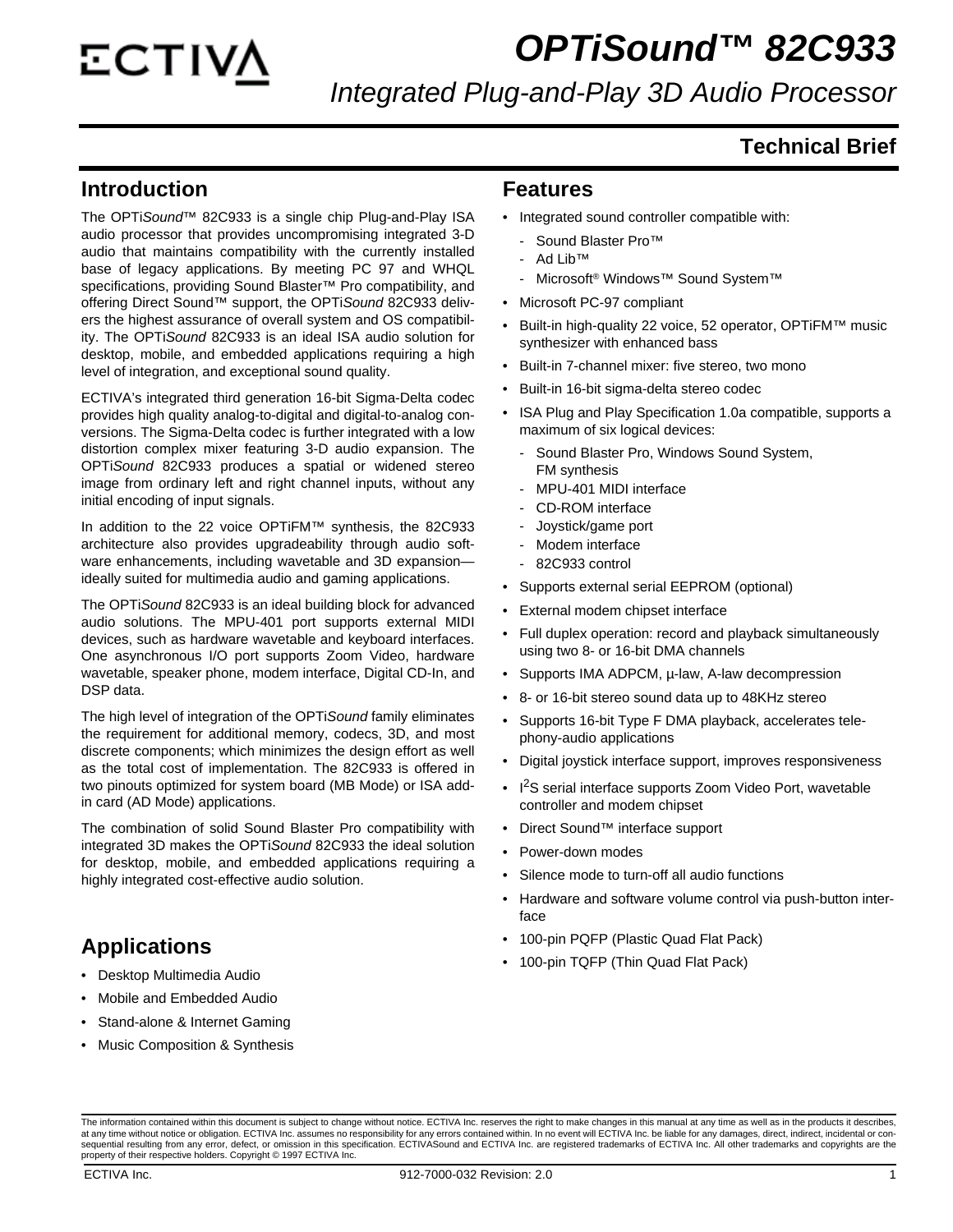### *OPTiSound™ 82C933*

*Integrated Plug-and-Play 3D Audio Processor*

#### **Technical Brief**

#### **Introduction**

The OPTi*Sound*™ 82C933 is a single chip Plug-and-Play ISA audio processor that provides uncompromising integrated 3-D audio that maintains compatibility with the currently installed base of legacy applications. By meeting PC 97 and WHQL specifications, providing Sound Blaster™ Pro compatibility, and offering Direct Sound™ support, the OPTi*Sound* 82C933 delivers the highest assurance of overall system and OS compatibility. The OPTi*Sound* 82C933 is an ideal ISA audio solution for desktop, mobile, and embedded applications requiring a high level of integration, and exceptional sound quality.

ECTIVA's integrated third generation 16-bit Sigma-Delta codec provides high quality analog-to-digital and digital-to-analog conversions. The Sigma-Delta codec is further integrated with a low distortion complex mixer featuring 3-D audio expansion. The OPTi*Sound* 82C933 produces a spatial or widened stereo image from ordinary left and right channel inputs, without any initial encoding of input signals.

In addition to the 22 voice OPTiFM™ synthesis, the 82C933 architecture also provides upgradeability through audio software enhancements, including wavetable and 3D expansion ideally suited for multimedia audio and gaming applications.

The OPTi*Sound* 82C933 is an ideal building block for advanced audio solutions. The MPU-401 port supports external MIDI devices, such as hardware wavetable and keyboard interfaces. One asynchronous I/O port supports Zoom Video, hardware wavetable, speaker phone, modem interface, Digital CD-In, and DSP data.

The high level of integration of the OPTi*Sound* family eliminates the requirement for additional memory, codecs, 3D, and most discrete components; which minimizes the design effort as well as the total cost of implementation. The 82C933 is offered in two pinouts optimized for system board (MB Mode) or ISA addin card (AD Mode) applications.

The combination of solid Sound Blaster Pro compatibility with integrated 3D makes the OPTi*Sound* 82C933 the ideal solution for desktop, mobile, and embedded applications requiring a highly integrated cost-effective audio solution.

#### **Applications**

- Desktop Multimedia Audio
- Mobile and Embedded Audio
- Stand-alone & Internet Gaming
- **Music Composition & Synthesis**

#### **Features**

- Integrated sound controller compatible with:
	- Sound Blaster Pro™
	- Ad Lib™
	- Microsoft<sup>®</sup> Windows™ Sound System™
- Microsoft PC-97 compliant
- Built-in high-quality 22 voice, 52 operator, OPTiFM™ music synthesizer with enhanced bass
- Built-in 7-channel mixer: five stereo, two mono
- Built-in 16-bit sigma-delta stereo codec
- ISA Plug and Play Specification 1.0a compatible, supports a maximum of six logical devices:
	- Sound Blaster Pro, Windows Sound System, FM synthesis
	- MPU-401 MIDI interface
	- CD-ROM interface
	- Joystick/game port
	- Modem interface
	- 82C933 control
- Supports external serial EEPROM (optional)
- External modem chipset interface
- Full duplex operation: record and playback simultaneously using two 8- or 16-bit DMA channels
- Supports IMA ADPCM, µ-law, A-law decompression
- 8- or 16-bit stereo sound data up to 48KHz stereo
- Supports 16-bit Type F DMA playback, accelerates telephony-audio applications
- Digital joystick interface support, improves responsiveness
- I<sup>2</sup>S serial interface supports Zoom Video Port, wavetable controller and modem chipset
- Direct Sound™ interface support
- Power-down modes
- Silence mode to turn-off all audio functions
- Hardware and software volume control via push-button interface
- 100-pin PQFP (Plastic Quad Flat Pack)
- 100-pin TQFP (Thin Quad Flat Pack)

The information contained within this document is subject to change without notice. ECTIVA Inc. reserves the right to make changes in this manual at any time as well as in the products it describes, at any time without notice or obligation. ECTIVA Inc. assumes no responsibility for any errors contained within. In no event will ECTIVA Inc. be liable for any damages, direct, indirect, incidental or consequential resulting from any error, defect, or omission in this specification. ECTIVASound and ECTIVA Inc. are registered trademarks of ECTIVA Inc. All other trademarks and copyrights are the<br>property of their respective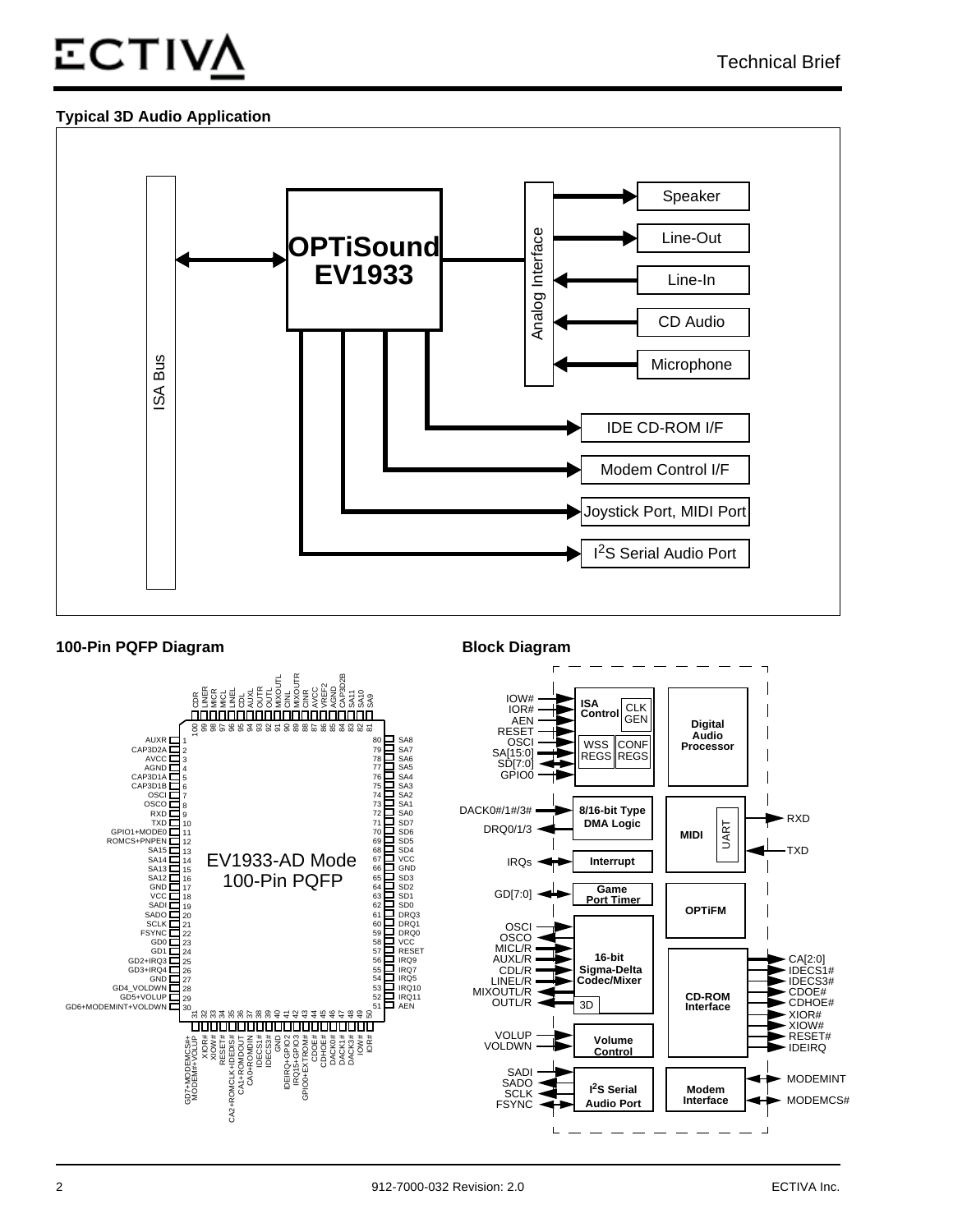## **ECTIV**

#### **Typical 3D Audio Application**



#### **100-Pin PQFP Diagram Block Diagram**

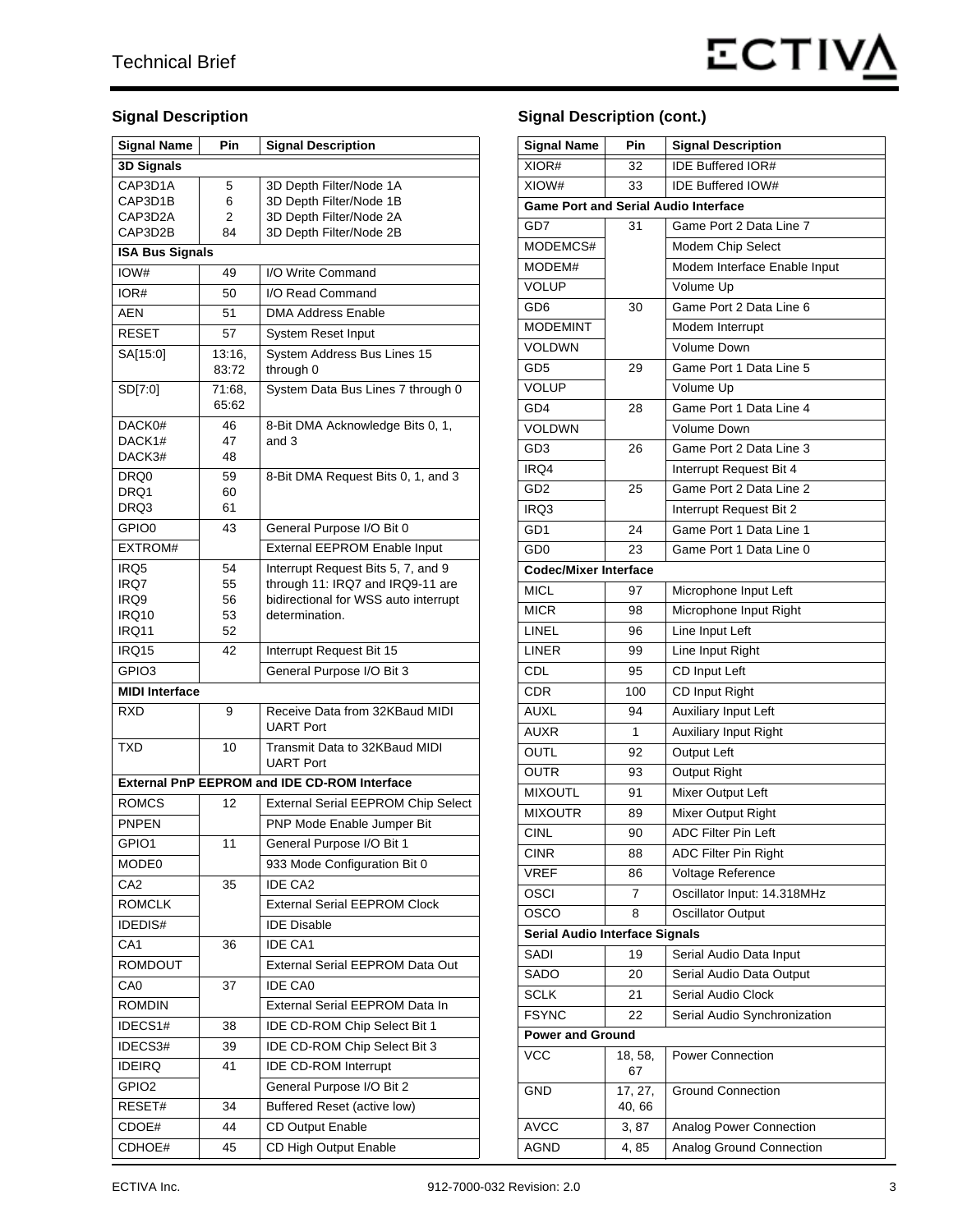#### **Signal Description**

| <b>Signal Name</b>                                  | Pin             | <b>Signal Description</b>                             |  |
|-----------------------------------------------------|-----------------|-------------------------------------------------------|--|
| 3D Signals                                          |                 |                                                       |  |
| CAP3D1A                                             | 5               | 3D Depth Filter/Node 1A                               |  |
| CAP3D1B                                             | 6               | 3D Depth Filter/Node 1B                               |  |
| CAP3D2A                                             | 2               | 3D Depth Filter/Node 2A                               |  |
| CAP3D2B                                             | 84              | 3D Depth Filter/Node 2B                               |  |
| <b>ISA Bus Signals</b>                              |                 |                                                       |  |
| IOW#                                                | 49              | I/O Write Command                                     |  |
| IOR#                                                | 50              | I/O Read Command                                      |  |
| <b>AEN</b>                                          | 51              | <b>DMA Address Enable</b>                             |  |
| <b>RESET</b>                                        | 57              | System Reset Input                                    |  |
| SA[15:0]                                            | 13:16,<br>83:72 | System Address Bus Lines 15<br>through 0              |  |
| SD[7:0]                                             | 71:68,<br>65:62 | System Data Bus Lines 7 through 0                     |  |
| DACK0#                                              | 46              | 8-Bit DMA Acknowledge Bits 0, 1,                      |  |
| DACK1#<br>DACK3#                                    | 47<br>48        | and 3                                                 |  |
|                                                     |                 |                                                       |  |
| DRQ0<br>DRQ1                                        | 59<br>60        | 8-Bit DMA Request Bits 0, 1, and 3                    |  |
| DRQ3                                                | 61              |                                                       |  |
| GPIO0                                               | 43              | General Purpose I/O Bit 0                             |  |
| EXTROM#                                             |                 | External EEPROM Enable Input                          |  |
| IRQ5                                                | 54              | Interrupt Request Bits 5, 7, and 9                    |  |
| IRQ7                                                | 55              | through 11: IRQ7 and IRQ9-11 are                      |  |
| IRQ9                                                | 56              | bidirectional for WSS auto interrupt                  |  |
| IRQ10<br>IRQ11                                      | 53              | determination.                                        |  |
| IRQ15                                               | 52<br>42        |                                                       |  |
| GPIO <sub>3</sub>                                   |                 | Interrupt Request Bit 15<br>General Purpose I/O Bit 3 |  |
| <b>MIDI Interface</b>                               |                 |                                                       |  |
| <b>RXD</b><br>Receive Data from 32KBaud MIDI<br>9   |                 |                                                       |  |
|                                                     |                 | <b>UART Port</b>                                      |  |
| <b>TXD</b>                                          | 10              | Transmit Data to 32KBaud MIDI<br><b>UART Port</b>     |  |
| <b>External PnP EEPROM and IDE CD-ROM Interface</b> |                 |                                                       |  |
| <b>ROMCS</b>                                        | 12              | <b>External Serial EEPROM Chip Select</b>             |  |
| PNPEN                                               |                 | PNP Mode Enable Jumper Bit                            |  |
| GPIO1                                               | 11              | General Purpose I/O Bit 1                             |  |
| MODE0                                               |                 | 933 Mode Configuration Bit 0                          |  |
| CA <sub>2</sub>                                     | 35              | <b>IDE CA2</b>                                        |  |
| <b>ROMCLK</b>                                       |                 | <b>External Serial EEPROM Clock</b>                   |  |
| IDEDIS#                                             |                 | <b>IDE Disable</b>                                    |  |
| CA <sub>1</sub>                                     | 36              | <b>IDE CA1</b>                                        |  |
| ROMDOUT                                             |                 | <b>External Serial EEPROM Data Out</b>                |  |
| CA <sub>0</sub>                                     | 37              | <b>IDE CA0</b>                                        |  |
| <b>ROMDIN</b>                                       |                 | External Serial EEPROM Data In                        |  |
| IDECS1#                                             | 38              | IDE CD-ROM Chip Select Bit 1                          |  |
| IDECS3#                                             | 39              | IDE CD-ROM Chip Select Bit 3                          |  |
| <b>IDEIRQ</b>                                       | 41              | <b>IDE CD-ROM Interrupt</b>                           |  |
| GPIO <sub>2</sub>                                   |                 | General Purpose I/O Bit 2                             |  |
| RESET#                                              | 34              | Buffered Reset (active low)                           |  |
| CDOE#                                               | 44              | <b>CD Output Enable</b>                               |  |
| CDHOE#                                              | 45              | CD High Output Enable                                 |  |
|                                                     |                 |                                                       |  |

#### **Signal Description (cont.)**

| <b>Signal Name</b>                          | Pin              | <b>Signal Description</b>    |
|---------------------------------------------|------------------|------------------------------|
| XIOR#                                       | 32               | <b>IDE Buffered IOR#</b>     |
| XIOW#                                       | 33               | <b>IDE Buffered IOW#</b>     |
| <b>Game Port and Serial Audio Interface</b> |                  |                              |
| GD7                                         | 31               | Game Port 2 Data Line 7      |
| MODEMCS#                                    |                  | Modem Chip Select            |
| MODEM#                                      |                  | Modem Interface Enable Input |
| <b>VOLUP</b>                                |                  | Volume Up                    |
| GD <sub>6</sub>                             | 30               | Game Port 2 Data Line 6      |
| <b>MODEMINT</b>                             |                  | Modem Interrupt              |
| <b>VOLDWN</b>                               |                  | Volume Down                  |
| GD5                                         | 29               | Game Port 1 Data Line 5      |
| <b>VOLUP</b>                                |                  | Volume Up                    |
| GD4                                         | 28               | Game Port 1 Data Line 4      |
| <b>VOLDWN</b>                               |                  | <b>Volume Down</b>           |
| GD3                                         | 26               | Game Port 2 Data Line 3      |
| IRQ4                                        |                  | Interrupt Request Bit 4      |
| GD <sub>2</sub>                             | 25               | Game Port 2 Data Line 2      |
| IRQ3                                        |                  | Interrupt Request Bit 2      |
| GD <sub>1</sub>                             | 24               | Game Port 1 Data Line 1      |
| GD <sub>0</sub>                             | 23               | Game Port 1 Data Line 0      |
| <b>Codec/Mixer Interface</b>                |                  |                              |
| <b>MICL</b>                                 | 97               | Microphone Input Left        |
| <b>MICR</b>                                 | 98               | Microphone Input Right       |
| LINEL                                       | 96               | Line Input Left              |
| <b>LINER</b>                                | 99               | Line Input Right             |
| CDL                                         | 95               | CD Input Left                |
| CDR                                         | 100              | CD Input Right               |
| AUXL                                        | 94               | Auxiliary Input Left         |
| <b>AUXR</b>                                 | 1                | Auxiliary Input Right        |
| <b>OUTL</b>                                 | 92               | Output Left                  |
| <b>OUTR</b>                                 | 93               | <b>Output Right</b>          |
| <b>MIXOUTL</b>                              | 91               | Mixer Output Left            |
| <b>MIXOUTR</b>                              | 89               | <b>Mixer Output Right</b>    |
| CINL                                        | 90               | ADC Filter Pin Left          |
| <b>CINR</b>                                 | 88               | ADC Filter Pin Right         |
| <b>VREF</b>                                 | 86               | Voltage Reference            |
| OSCI                                        | 7                | Oscillator Input: 14.318MHz  |
| osco                                        | 8                | Oscillator Output            |
| <b>Serial Audio Interface Signals</b>       |                  |                              |
| SADI                                        | 19               | Serial Audio Data Input      |
| SADO                                        | 20               | Serial Audio Data Output     |
| <b>SCLK</b>                                 | 21               | Serial Audio Clock           |
| <b>FSYNC</b>                                | 22               | Serial Audio Synchronization |
| <b>Power and Ground</b>                     |                  |                              |
| VCC                                         | 18, 58,<br>67    | <b>Power Connection</b>      |
| <b>GND</b>                                  | 17, 27,<br>40,66 | <b>Ground Connection</b>     |
| <b>AVCC</b>                                 | 3, 87            | Analog Power Connection      |
| AGND                                        | 4,85             | Analog Ground Connection     |